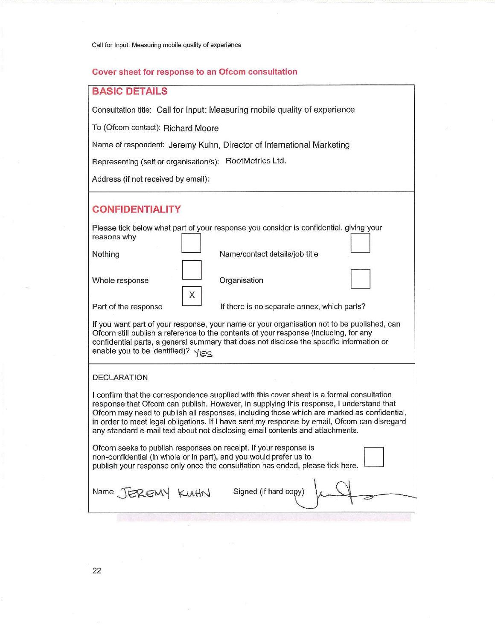### Cover sheet for response to an Ofcom consultation

# **BASIC DETAILS**

Consultation title: Call for Input: Measuring mobile quality of experience

To (Ofcom contact): Richard Moore

Name of respondent: Jeremy Kuhn, Director of International Marketing

Representing (self or organisation/s): RootMetrics Ltd.

Address (if not received by email):

## **CONFIDENTIALITY**

| reasons why          | Please tick below what part of your response you consider is confidential, giving your |
|----------------------|----------------------------------------------------------------------------------------|
| Nothing              | Name/contact details/job title                                                         |
| Whole response<br>X  | Organisation                                                                           |
| Part of the response | If there is no separate annex, which parts?                                            |

If you want part of your response, your name or your organisation not to be published, can Ofcom still publish a reference to the contents of your response (including, for any confidential parts, a general summary that does not disclose the specific information or enable you to be identified)?  $\sqrt{\epsilon}$ 

### **DECLARATION**

I confirm that the correspondence supplied with this cover sheet is a formal consultation response that Ofcom can publish. However, in supplying this response, I understand that Ofcom may need to publish all responses, including those which are marked as confidential, in order to meet legal obligations. If I have sent my response by email, Ofcom can disregard any standard e-mail text about not disclosing email contents and attachments.

Ofcom seeks to publish responses on receipt. If your response is non-confidential (in whole or in part), and you would prefer us to publish your response only once the consultation has ended, please tick here.  $\mathbf{I}$ 

| Name JEREMY KUHN |  | Signed (if hard copy) $\downarrow$ |  |  |  |
|------------------|--|------------------------------------|--|--|--|
|------------------|--|------------------------------------|--|--|--|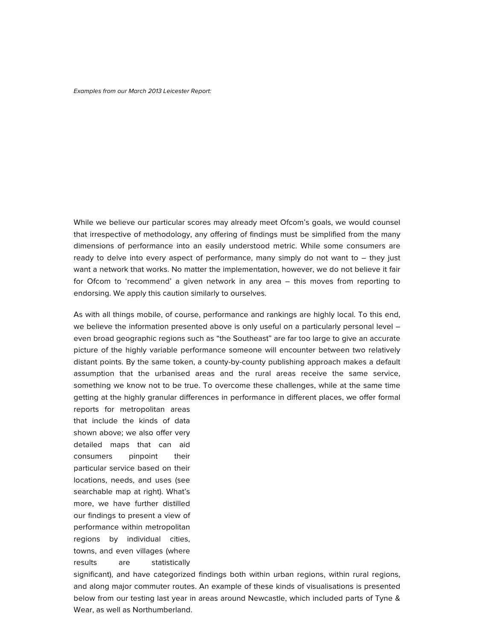#### *Examples from our March 2013 Leicester Report:*

While we believe our particular scores may already meet Ofcom's goals, we would counsel that irrespective of methodology, any offering of findings must be simplified from the many dimensions of performance into an easily understood metric. While some consumers are ready to delve into every aspect of performance, many simply do not want to  $-$  they just want a network that works. No matter the implementation, however, we do not believe it fair for Ofcom to 'recommend' a given network in any area – this moves from reporting to endorsing. We apply this caution similarly to ourselves.

As with all things mobile, of course, performance and rankings are highly local. To this end, we believe the information presented above is only useful on a particularly personal level – even broad geographic regions such as "the Southeast" are far too large to give an accurate picture of the highly variable performance someone will encounter between two relatively distant points. By the same token, a county-by-county publishing approach makes a default assumption that the urbanised areas and the rural areas receive the same service, something we know not to be true. To overcome these challenges, while at the same time getting at the highly granular differences in performance in different places, we offer formal reports for metropolitan areas

that include the kinds of data shown above; we also offer very detailed maps that can aid consumers pinpoint their particular service based on their locations, needs, and uses (see searchable map at right). What's more, we have further distilled our findings to present a view of performance within metropolitan regions by individual cities, towns, and even villages (where results are statistically

significant), and have categorized findings both within urban regions, within rural regions, and along major commuter routes. An example of these kinds of visualisations is presented below from our testing last year in areas around Newcastle, which included parts of Tyne & Wear, as well as Northumberland.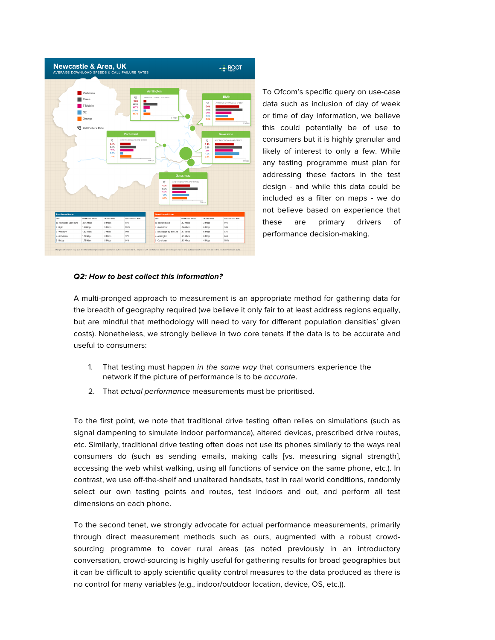

To Ofcom's specific query on use-case data such as inclusion of day of week or time of day information, we believe this could potentially be of use to consumers but it is highly granular and likely of interest to only a few. While any testing programme must plan for addressing these factors in the test design - and while this data could be included as a filter on maps - we do not believe based on experience that these are primary drivers of performance decision-making.

### *Q2: How to best collect this information?*

A multi-pronged approach to measurement is an appropriate method for gathering data for the breadth of geography required (we believe it only fair to at least address regions equally, but are mindful that methodology will need to vary for different population densities' given costs). Nonetheless, we strongly believe in two core tenets if the data is to be accurate and useful to consumers:

- 1. That testing must happen *in the same way* that consumers experience the network if the picture of performance is to be *accurate*.
- 2. That *actual performance* measurements must be prioritised.

To the first point, we note that traditional drive testing often relies on simulations (such as signal dampening to simulate indoor performance), altered devices, prescribed drive routes, etc. Similarly, traditional drive testing often does not use its phones similarly to the ways real consumers do (such as sending emails, making calls [vs. measuring signal strength], accessing the web whilst walking, using all functions of service on the same phone, etc.). In contrast, we use off-the-shelf and unaltered handsets, test in real world conditions, randomly select our own testing points and routes, test indoors and out, and perform all test dimensions on each phone.

To the second tenet, we strongly advocate for actual performance measurements, primarily through direct measurement methods such as ours, augmented with a robust crowdsourcing programme to cover rural areas (as noted previously in an introductory conversation, crowd-sourcing is highly useful for gathering results for broad geographies but it can be difficult to apply scientific quality control measures to the data produced as there is no control for many variables (e.g., indoor/outdoor location, device, OS, etc.)).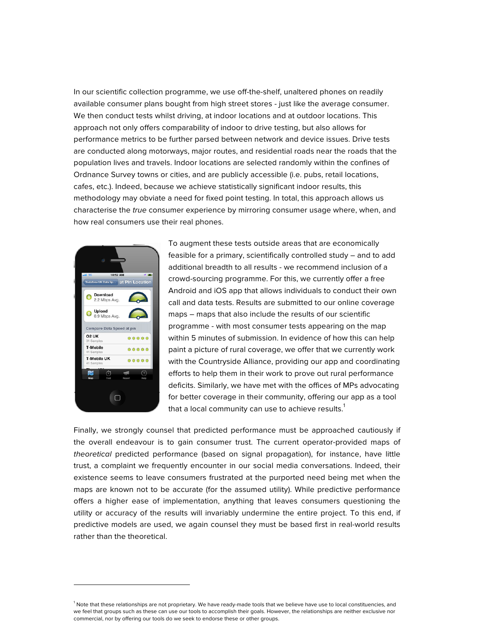In our scientific collection programme, we use off-the-shelf, unaltered phones on readily available consumer plans bought from high street stores - just like the average consumer. We then conduct tests whilst driving, at indoor locations and at outdoor locations. This approach not only offers comparability of indoor to drive testing, but also allows for performance metrics to be further parsed between network and device issues. Drive tests are conducted along motorways, major routes, and residential roads near the roads that the population lives and travels. Indoor locations are selected randomly within the confines of Ordnance Survey towns or cities, and are publicly accessible (i.e. pubs, retail locations, cafes, etc.). Indeed, because we achieve statistically significant indoor results, this methodology may obviate a need for fixed point testing. In total, this approach allows us characterise the *true* consumer experience by mirroring consumer usage where, when, and how real consumers use their real phones.



j

To augment these tests outside areas that are economically feasible for a primary, scientifically controlled study – and to add additional breadth to all results - we recommend inclusion of a crowd-sourcing programme. For this, we currently offer a free Android and iOS app that allows individuals to conduct their own call and data tests. Results are submitted to our online coverage maps – maps that also include the results of our scientific programme - with most consumer tests appearing on the map within 5 minutes of submission. In evidence of how this can help paint a picture of rural coverage, we offer that we currently work with the Countryside Alliance, providing our app and coordinating efforts to help them in their work to prove out rural performance deficits. Similarly, we have met with the offices of MPs advocating for better coverage in their community, offering our app as a tool that a local community can use to achieve results. $<sup>1</sup>$ </sup>

Finally, we strongly counsel that predicted performance must be approached cautiously if the overall endeavour is to gain consumer trust. The current operator-provided maps of *theoretical* predicted performance (based on signal propagation), for instance, have little trust, a complaint we frequently encounter in our social media conversations. Indeed, their existence seems to leave consumers frustrated at the purported need being met when the maps are known not to be accurate (for the assumed utility). While predictive performance offers a higher ease of implementation, anything that leaves consumers questioning the utility or accuracy of the results will invariably undermine the entire project. To this end, if predictive models are used, we again counsel they must be based first in real-world results rather than the theoretical.

<sup>&</sup>lt;sup>1</sup> Note that these relationships are not proprietary. We have ready-made tools that we believe have use to local constituencies, and we feel that groups such as these can use our tools to accomplish their goals. However, the relationships are neither exclusive nor commercial, nor by offering our tools do we seek to endorse these or other groups.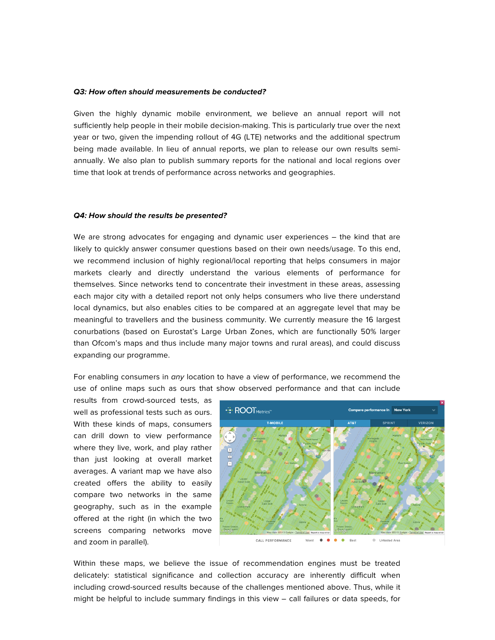### *Q3: How often should measurements be conducted?*

Given the highly dynamic mobile environment, we believe an annual report will not sufficiently help people in their mobile decision-making. This is particularly true over the next year or two, given the impending rollout of 4G (LTE) networks and the additional spectrum being made available. In lieu of annual reports, we plan to release our own results semiannually. We also plan to publish summary reports for the national and local regions over time that look at trends of performance across networks and geographies.

### *Q4: How should the results be presented?*

We are strong advocates for engaging and dynamic user experiences – the kind that are likely to quickly answer consumer questions based on their own needs/usage. To this end, we recommend inclusion of highly regional/local reporting that helps consumers in major markets clearly and directly understand the various elements of performance for themselves. Since networks tend to concentrate their investment in these areas, assessing each major city with a detailed report not only helps consumers who live there understand local dynamics, but also enables cities to be compared at an aggregate level that may be meaningful to travellers and the business community. We currently measure the 16 largest conurbations (based on Eurostat's Large Urban Zones, which are functionally 50% larger than Ofcom's maps and thus include many major towns and rural areas), and could discuss expanding our programme.

For enabling consumers in *any* location to have a view of performance, we recommend the use of online maps such as ours that show observed performance and that can include

results from crowd-sourced tests, as well as professional tests such as ours. With these kinds of maps, consumers can drill down to view performance where they live, work, and play rather than just looking at overall market averages. A variant map we have also created offers the ability to easily compare two networks in the same geography, such as in the example offered at the right (in which the two screens comparing networks move and zoom in parallel).



Within these maps, we believe the issue of recommendation engines must be treated delicately: statistical significance and collection accuracy are inherently difficult when including crowd-sourced results because of the challenges mentioned above. Thus, while it might be helpful to include summary findings in this view – call failures or data speeds, for